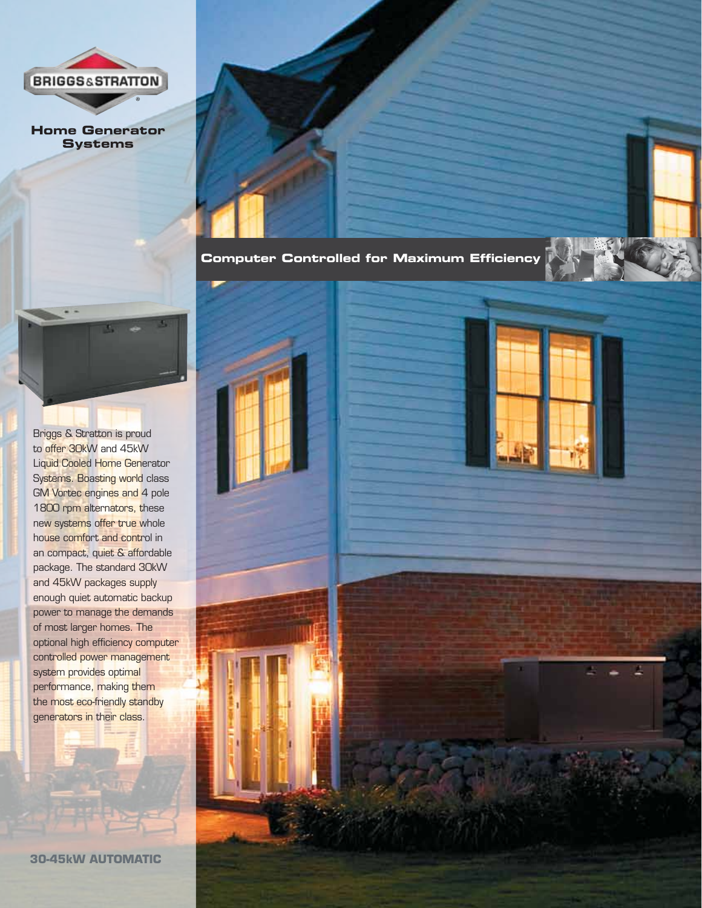

**Home Generator Systems**

**Computer Controlled for Maximum Efficiency**

Briggs & Stratton is proud to offer 30kW and 45kW Liquid Cooled Home Generator Systems. Boasting world class GM Vortec engines and 4 pole 1800 rpm alternators, these new systems offer true whole house comfort and control in an compact, quiet & affordable package. The standard 30kW and 45kW packages supply enough quiet automatic backup power to manage the demands of most larger homes. The optional high efficiency computer controlled power management system provides optimal performance, making them the most eco-friendly standby generators in their class.

**30-45kW AUTOMATIC**